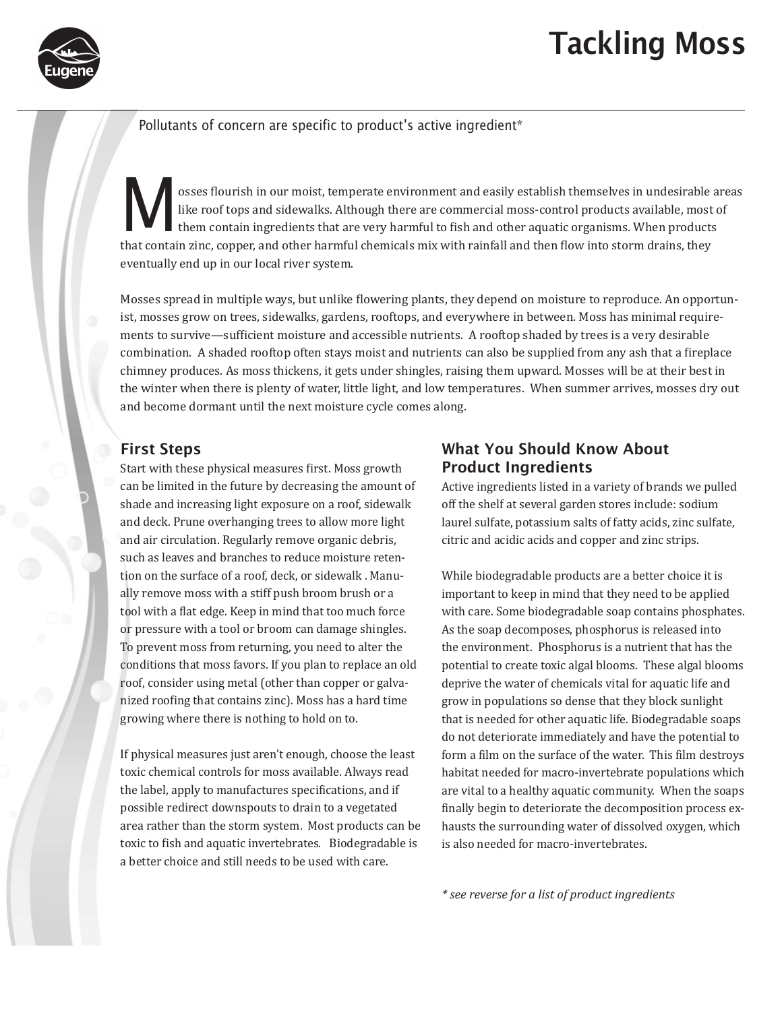

# Tackling Moss

#### Pollutants of concern are specific to product's active ingredient\*

Sosses flourish in our moist, temperate environment and easily establish themselves in undesirable areas<br>like roof tops and sidewalks. Although there are commercial moss-control products available, most of<br>them contain ing like roof tops and sidewalks. Although there are commercial moss-control products available, most of them contain ingredients that are very harmful to fish and other aquatic organisms. When products that contain zinc, copper, and other harmful chemicals mix with rainfall and then flow into storm drains, they eventually end up in our local river system.

Mosses spread in multiple ways, but unlike flowering plants, they depend on moisture to reproduce. An opportunist, mosses grow on trees, sidewalks, gardens, rooftops, and everywhere in between. Moss has minimal requirements to survive—sufficient moisture and accessible nutrients. A rooftop shaded by trees is a very desirable combination. A shaded rooftop often stays moist and nutrients can also be supplied from any ash that a fireplace chimney produces. As moss thickens, it gets under shingles, raising them upward. Mosses will be at their best in the winter when there is plenty of water, little light, and low temperatures. When summer arrives, mosses dry out and become dormant until the next moisture cycle comes along.

#### First Steps

Start with these physical measures first. Moss growth can be limited in the future by decreasing the amount of shade and increasing light exposure on a roof, sidewalk and deck. Prune overhanging trees to allow more light and air circulation. Regularly remove organic debris, such as leaves and branches to reduce moisture retention on the surface of a roof, deck, or sidewalk . Manually remove moss with a stiff push broom brush or a tool with a flat edge. Keep in mind that too much force or pressure with a tool or broom can damage shingles. To prevent moss from returning, you need to alter the conditions that moss favors. If you plan to replace an old roof, consider using metal (other than copper or galvanized roofing that contains zinc). Moss has a hard time growing where there is nothing to hold on to.

If physical measures just aren't enough, choose the least toxic chemical controls for moss available. Always read the label, apply to manufactures specifications, and if possible redirect downspouts to drain to a vegetated area rather than the storm system. Most products can be toxic to fish and aquatic invertebrates. Biodegradable is a better choice and still needs to be used with care.

### What You Should Know About Product Ingredients

Active ingredients listed in a variety of brands we pulled off the shelf at several garden stores include: sodium laurel sulfate, potassium salts of fatty acids, zinc sulfate, citric and acidic acids and copper and zinc strips.

While biodegradable products are a better choice it is important to keep in mind that they need to be applied with care. Some biodegradable soap contains phosphates. As the soap decomposes, phosphorus is released into the environment. Phosphorus is a nutrient that has the potential to create toxic algal blooms. These algal blooms deprive the water of chemicals vital for aquatic life and grow in populations so dense that they block sunlight that is needed for other aquatic life. Biodegradable soaps do not deteriorate immediately and have the potential to form a film on the surface of the water. This film destroys habitat needed for macro-invertebrate populations which are vital to a healthy aquatic community. When the soaps finally begin to deteriorate the decomposition process exhausts the surrounding water of dissolved oxygen, which is also needed for macro-invertebrates.

*\* see reverse for a list of product ingredients*